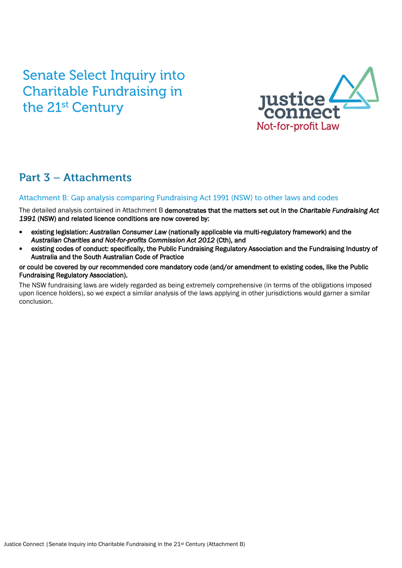# **Senate Select Inquiry into Charitable Fundraising in** the 21<sup>st</sup> Century



# **Part 3 - Attachments**

# Attachment B: Gap analysis comparing Fundraising Act 1991 (NSW) to other laws and codes

The detailed analysis contained in Attachment B demonstrates that the matters set out in the *Charitable Fundraising Act 1991* (NSW) and related licence conditions are now covered by:

- existing legislation: *Australian Consumer Law* (nationally applicable via multi-regulatory framework) and the *Australian Charities and Not-for-profits Commission Act 2012* (Cth), and
- existing codes of conduct: specifically, the Public Fundraising Regulatory Association and the Fundraising Industry of Australia and the South Australian Code of Practice

# or could be covered by our recommended core mandatory code (and/or amendment to existing codes, like the Public Fundraising Regulatory Association).

The NSW fundraising laws are widely regarded as being extremely comprehensive (in terms of the obligations imposed upon licence holders), so we expect a similar analysis of the laws applying in other jurisdictions would garner a similar conclusion.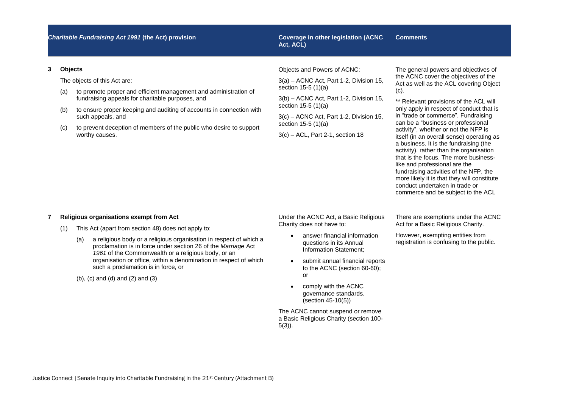**Act, ACL)**

### **Comments**

### **3 Objects**

The objects of this Act are:

- (a) to promote proper and efficient management and administration of fundraising appeals for charitable purposes, and
- (b) to ensure proper keeping and auditing of accounts in connection with such appeals, and
- (c) to prevent deception of members of the public who desire to support worthy causes.

Objects and Powers of ACNC:

3(a) – ACNC Act, Part 1-2, Division 15, section 15-5 (1)(a)

3(b) – ACNC Act, Part 1-2, Division 15, section 15-5 (1)(a)

3(c) – ACNC Act, Part 1-2, Division 15, section 15-5 (1)(a)

3(c) – ACL, Part 2-1, section 18

The general powers and objectives of the ACNC cover the objectives of the Act as well as the ACL covering Object (c).

\*\* Relevant provisions of the ACL will only apply in respect of conduct that is in "trade or commerce". Fundraising can be a "business or professional activity", whether or not the NFP is itself (in an overall sense) operating as a business. It is the fundraising (the activity), rather than the organisation that is the focus. The more businesslike and professional are the fundraising activities of the NFP, the more likely it is that they will constitute conduct undertaken in trade or commerce and be subject to the ACL

# **7 Religious organisations exempt from Act**

- (1) This Act (apart from section 48) does not apply to:
	- (a) a religious body or a religious organisation in respect of which a proclamation is in force under section 26 of the *Marriage* Act *1961* of the Commonwealth or a religious body, or an organisation or office, within a denomination in respect of which such a proclamation is in force, or

(b), (c) and (d) and (2) and (3)

Under the ACNC Act, a Basic Religious Charity does not have to:

- answer financial information questions in its Annual Information Statement;
- submit annual financial reports to the ACNC (section 60-60); or
- comply with the ACNC governance standards. (section 45-10(5))

The ACNC cannot suspend or remove a Basic Religious Charity (section 100- 5(3)).

There are exemptions under the ACNC Act for a Basic Religious Charity.

However, exempting entities from registration is confusing to the public.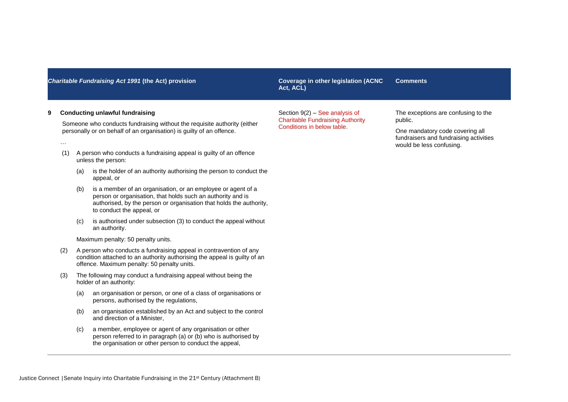**Act, ACL) Comments**

Section 9(2) – See analysis of Charitable Fundraising Authority Conditions in below table.

# **9 Conducting unlawful fundraising**

…

Someone who conducts fundraising without the requisite authority (either personally or on behalf of an organisation) is guilty of an offence.

- (1) A person who conducts a fundraising appeal is guilty of an offence unless the person:
	- (a) is the holder of an authority authorising the person to conduct the appeal, or
	- (b) is a member of an organisation, or an employee or agent of a person or organisation, that holds such an authority and is authorised, by the person or organisation that holds the authority, to conduct the appeal, or
	- (c) is authorised under subsection (3) to conduct the appeal without an authority.

Maximum penalty: 50 penalty units.

- (2) A person who conducts a fundraising appeal in contravention of any condition attached to an authority authorising the appeal is guilty of an offence. Maximum penalty: 50 penalty units.
- (3) The following may conduct a fundraising appeal without being the holder of an authority:
	- (a) an organisation or person, or one of a class of organisations or persons, authorised by the regulations,
	- (b) an organisation established by an Act and subject to the control and direction of a Minister,
	- (c) a member, employee or agent of any organisation or other person referred to in paragraph (a) or (b) who is authorised by the organisation or other person to conduct the appeal,

The exceptions are confusing to the public.

One mandatory code covering all fundraisers and fundraising activities would be less confusing.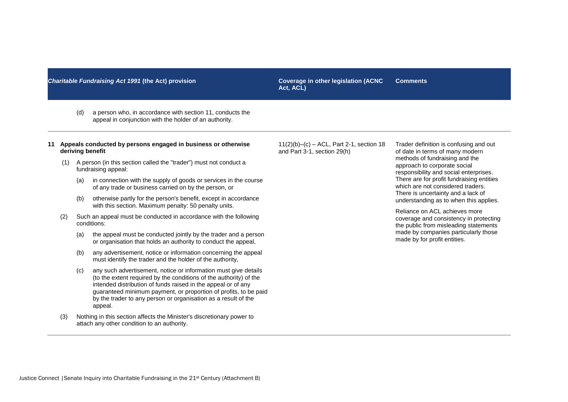**Act, ACL) Comments**

(d) a person who, in accordance with section 11, conducts the appeal in conjunction with the holder of an authority.

### **11 Appeals conducted by persons engaged in business or otherwise deriving benefit**

- (1) A person (in this section called the "trader") must not conduct a fundraising appeal:
	- (a) in connection with the supply of goods or services in the course of any trade or business carried on by the person, or
	- (b) otherwise partly for the person's benefit, except in accordance with this section. Maximum penalty: 50 penalty units.
- (2) Such an appeal must be conducted in accordance with the following conditions:
	- (a) the appeal must be conducted jointly by the trader and a person or organisation that holds an authority to conduct the appeal,
	- (b) any advertisement, notice or information concerning the appeal must identify the trader and the holder of the authority,
	- (c) any such advertisement, notice or information must give details (to the extent required by the conditions of the authority) of the intended distribution of funds raised in the appeal or of any guaranteed minimum payment, or proportion of profits, to be paid by the trader to any person or organisation as a result of the appeal.
- (3) Nothing in this section affects the Minister's discretionary power to attach any other condition to an authority.

11(2)(b)–(c) – ACL, Part 2-1, section 18 and Part 3-1, section 29(h)

Trader definition is confusing and out of date in terms of many modern methods of fundraising and the approach to corporate social responsibility and social enterprises. There are for profit fundraising entities which are not considered traders. There is uncertainty and a lack of understanding as to when this applies.

Reliance on ACL achieves more coverage and consistency in protecting the public from misleading statements made by companies particularly those made by for profit entities.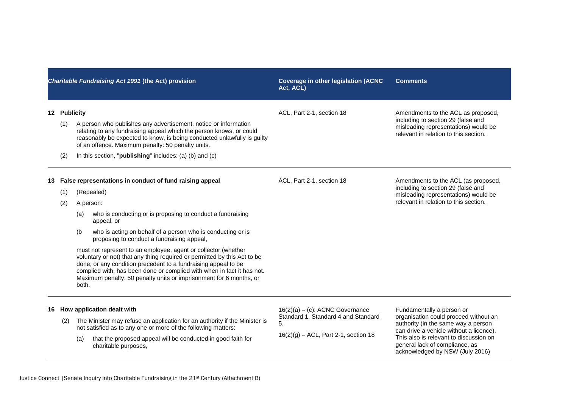|     | Charitable Fundraising Act 1991 (the Act) provision |                     |                                                                                                                                                                                                                                                                                                                                                                                                                                                                                                                                                                                                                                             | <b>Coverage in other legislation (ACNC</b><br>Act, ACL)                                                                    | <b>Comments</b>                                                                                                                                                                                                                                                     |  |
|-----|-----------------------------------------------------|---------------------|---------------------------------------------------------------------------------------------------------------------------------------------------------------------------------------------------------------------------------------------------------------------------------------------------------------------------------------------------------------------------------------------------------------------------------------------------------------------------------------------------------------------------------------------------------------------------------------------------------------------------------------------|----------------------------------------------------------------------------------------------------------------------------|---------------------------------------------------------------------------------------------------------------------------------------------------------------------------------------------------------------------------------------------------------------------|--|
|     | 12 Publicity<br>(1)<br>(2)                          |                     | A person who publishes any advertisement, notice or information<br>relating to any fundraising appeal which the person knows, or could<br>reasonably be expected to know, is being conducted unlawfully is guilty<br>of an offence. Maximum penalty: 50 penalty units.<br>In this section, " <b>publishing</b> " includes: (a) (b) and (c)                                                                                                                                                                                                                                                                                                  | ACL, Part 2-1, section 18                                                                                                  | Amendments to the ACL as proposed,<br>including to section 29 (false and<br>misleading representations) would be<br>relevant in relation to this section.                                                                                                           |  |
| 13. | (1)<br>(2)                                          | (a)<br>(b)<br>both. | False representations in conduct of fund raising appeal<br>(Repealed)<br>A person:<br>who is conducting or is proposing to conduct a fundraising<br>appeal, or<br>who is acting on behalf of a person who is conducting or is<br>proposing to conduct a fundraising appeal,<br>must not represent to an employee, agent or collector (whether<br>voluntary or not) that any thing required or permitted by this Act to be<br>done, or any condition precedent to a fundraising appeal to be<br>complied with, has been done or complied with when in fact it has not.<br>Maximum penalty: 50 penalty units or imprisonment for 6 months, or | ACL, Part 2-1, section 18                                                                                                  | Amendments to the ACL (as proposed,<br>including to section 29 (false and<br>misleading representations) would be<br>relevant in relation to this section.                                                                                                          |  |
| 16  | (2)                                                 | (a)                 | How application dealt with<br>The Minister may refuse an application for an authority if the Minister is<br>not satisfied as to any one or more of the following matters:<br>that the proposed appeal will be conducted in good faith for<br>charitable purposes,                                                                                                                                                                                                                                                                                                                                                                           | $16(2)(a) - (c)$ : ACNC Governance<br>Standard 1, Standard 4 and Standard<br>5.<br>$16(2)(g) - ACL$ , Part 2-1, section 18 | Fundamentally a person or<br>organisation could proceed without an<br>authority (in the same way a person<br>can drive a vehicle without a licence).<br>This also is relevant to discussion on<br>general lack of compliance, as<br>acknowledged by NSW (July 2016) |  |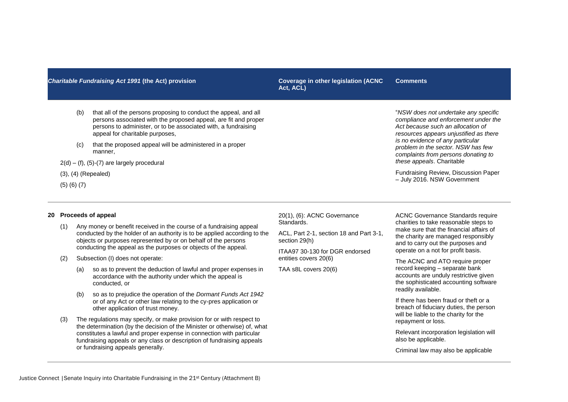# (b) that all of the persons proposing to conduct the appeal, and all persons associated with the proposed appeal, are fit and proper persons to administer, or to be associated with, a fundraising appeal for charitable purposes,

- (c) that the proposed appeal will be administered in a proper manner,
- $2(d) (f)$ ,  $(5)-(7)$  are largely procedural
- (3), (4) (Repealed)
- (5) (6) (7)

# **20 Proceeds of appeal**

- (1) Any money or benefit received in the course of a fundraising appeal conducted by the holder of an authority is to be applied according to the objects or purposes represented by or on behalf of the persons conducting the appeal as the purposes or objects of the appeal.
- (2) Subsection (I) does not operate:
	- (a) so as to prevent the deduction of lawful and proper expenses in accordance with the authority under which the appeal is conducted, or
	- (b) so as to prejudice the operation of the *Dormant Funds Act 1942* or of any Act or other law relating to the cy-pres application or other application of trust money.
- (3) The regulations may specify, or make provision for or with respect to the determination (by the decision of the Minister or otherwise) of, what constitutes a lawful and proper expense in connection with particular fundraising appeals or any class or description of fundraising appeals or fundraising appeals generally.

20(1), (6): ACNC Governance Standards.

ACL, Part 2-1, section 18 and Part 3-1, section 29(h)

ITAA97 30-130 for DGR endorsed entities covers 20(6)

TAA s8L covers 20(6)

ACNC Governance Standards require charities to take reasonable steps to make sure that the financial affairs of the charity are managed responsibly and to carry out the purposes and

Fundraising Review, Discussion Paper – July 2016. NSW Government

"*NSW does not undertake any specific compliance and enforcement under the Act because such an allocation of resources appears unjustified as there is no evidence of any particular problem in the sector. NSW has few complaints from persons donating to* 

*these appeals*. Charitable

operate on a not for profit basis. The ACNC and ATO require proper record keeping – separate bank accounts are unduly restrictive given

the sophisticated accounting software readily available.

If there has been fraud or theft or a breach of fiduciary duties, the person will be liable to the charity for the repayment or loss.

Relevant incorporation legislation will also be applicable.

Criminal law may also be applicable

Justice Connect |Senate Inquiry into Charitable Fundraising in the 21st Century (Attachment B)

**Act, ACL) Comments**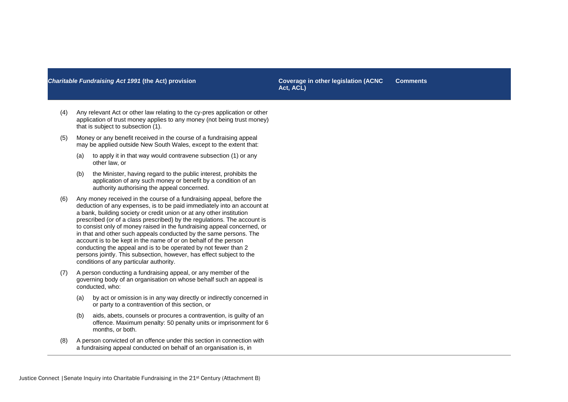**Act, ACL) Comments**

- (4) Any relevant Act or other law relating to the cy-pres application or other application of trust money applies to any money (not being trust money) that is subject to subsection (1).
- (5) Money or any benefit received in the course of a fundraising appeal may be applied outside New South Wales, except to the extent that:
	- (a) to apply it in that way would contravene subsection (1) or any other law, or
	- (b) the Minister, having regard to the public interest, prohibits the application of any such money or benefit by a condition of an authority authorising the appeal concerned.
- (6) Any money received in the course of a fundraising appeal, before the deduction of any expenses, is to be paid immediately into an account at a bank, building society or credit union or at any other institution prescribed (or of a class prescribed) by the regulations. The account is to consist only of money raised in the fundraising appeal concerned, or in that and other such appeals conducted by the same persons. The account is to be kept in the name of or on behalf of the person conducting the appeal and is to be operated by not fewer than 2 persons jointly. This subsection, however, has effect subject to the conditions of any particular authority.
- (7) A person conducting a fundraising appeal, or any member of the governing body of an organisation on whose behalf such an appeal is conducted, who:
	- (a) by act or omission is in any way directly or indirectly concerned in or party to a contravention of this section, or
	- (b) aids, abets, counsels or procures a contravention, is guilty of an offence. Maximum penalty: 50 penalty units or imprisonment for 6 months, or both.
- (8) A person convicted of an offence under this section in connection with a fundraising appeal conducted on behalf of an organisation is, in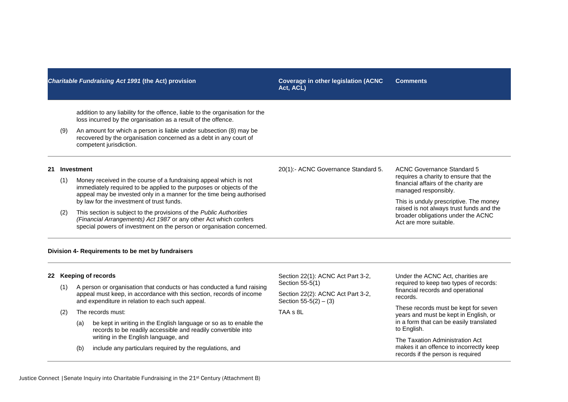| <b>Charitable Fundraising Act 1991 (the Act) provision</b> |                                                   |                                                                                                                                                                                                                                                                                                                                                                                                                                                                                                          | <b>Coverage in other legislation (ACNC</b><br>Act, ACL) | <b>Comments</b>                                                                                                                                                                                                                                                                                  |  |
|------------------------------------------------------------|---------------------------------------------------|----------------------------------------------------------------------------------------------------------------------------------------------------------------------------------------------------------------------------------------------------------------------------------------------------------------------------------------------------------------------------------------------------------------------------------------------------------------------------------------------------------|---------------------------------------------------------|--------------------------------------------------------------------------------------------------------------------------------------------------------------------------------------------------------------------------------------------------------------------------------------------------|--|
|                                                            | (9)                                               | addition to any liability for the offence, liable to the organisation for the<br>loss incurred by the organisation as a result of the offence.<br>An amount for which a person is liable under subsection (8) may be<br>recovered by the organisation concerned as a debt in any court of<br>competent jurisdiction.                                                                                                                                                                                     |                                                         |                                                                                                                                                                                                                                                                                                  |  |
| 21                                                         | (1)<br>(2)                                        | <b>Investment</b><br>Money received in the course of a fundraising appeal which is not<br>immediately required to be applied to the purposes or objects of the<br>appeal may be invested only in a manner for the time being authorised<br>by law for the investment of trust funds.<br>This section is subject to the provisions of the Public Authorities<br>(Financial Arrangements) Act 1987 or any other Act which confers<br>special powers of investment on the person or organisation concerned. | 20(1):- ACNC Governance Standard 5.                     | <b>ACNC Governance Standard 5</b><br>requires a charity to ensure that the<br>financial affairs of the charity are<br>managed responsibly.<br>This is unduly prescriptive. The money<br>raised is not always trust funds and the<br>broader obligations under the ACNC<br>Act are more suitable. |  |
|                                                            | Division 4- Requirements to be met by fundraisers |                                                                                                                                                                                                                                                                                                                                                                                                                                                                                                          |                                                         |                                                                                                                                                                                                                                                                                                  |  |

# **22 Keeping of records**

- (1) A person or organisation that conducts or has conducted a fund raising appeal must keep, in accordance with this section, records of income and expenditure in relation to each such appeal.
- (2) The records must:
	- (a) be kept in writing in the English language or so as to enable the records to be readily accessible and readily convertible into writing in the English language, and
	- (b) include any particulars required by the regulations, and

Section 22(1): ACNC Act Part 3-2, Section 55-5(1)

Section 22(2): ACNC Act Part 3-2, Section  $55-5(2) - (3)$ 

TAA s 8L

Under the ACNC Act, charities are required to keep two types of records: financial records and operational records.

These records must be kept for seven years and must be kept in English, or in a form that can be easily translated to English.

The Taxation Administration Act makes it an offence to incorrectly keep records if the person is required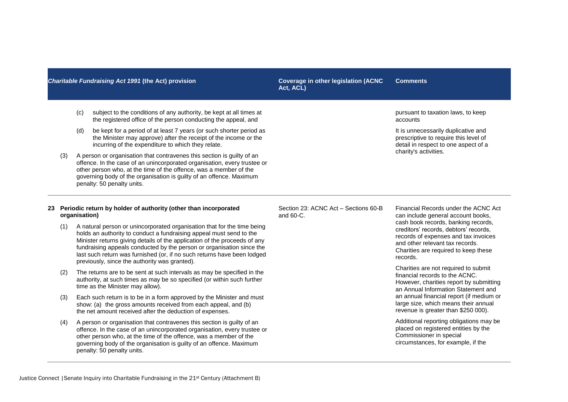Justice Connect |Senate Inquiry into Charitable Fundraising in the 21st Century (Attachment B)

# *Charitable Fundraising Act 1991* **(the Act) provision Coverage in other legislation (ACNC**

- (c) subject to the conditions of any authority, be kept at all times at the registered office of the person conducting the appeal, and
- (d) be kept for a period of at least 7 years (or such shorter period as the Minister may approve) after the receipt of the income or the incurring of the expenditure to which they relate.
- (3) A person or organisation that contravenes this section is guilty of an offence. In the case of an unincorporated organisation, every trustee or other person who, at the time of the offence, was a member of the governing body of the organisation is guilty of an offence. Maximum penalty: 50 penalty units.

# **23 Periodic return by holder of authority (other than incorporated organisation)**

- (1) A natural person or unincorporated organisation that for the time being holds an authority to conduct a fundraising appeal must send to the Minister returns giving details of the application of the proceeds of any fundraising appeals conducted by the person or organisation since the last such return was furnished (or, if no such returns have been lodged previously, since the authority was granted).
- (2) The returns are to be sent at such intervals as may be specified in the authority, at such times as may be so specified (or within such further time as the Minister may allow).
- (3) Each such return is to be in a form approved by the Minister and must show: (a) the gross amounts received from each appeal, and (b) the net amount received after the deduction of expenses.
- (4) A person or organisation that contravenes this section is guilty of an offence. In the case of an unincorporated organisation, every trustee or other person who, at the time of the offence, was a member of the governing body of the organisation is guilty of an offence. Maximum penalty: 50 penalty units.

Section 23: ACNC Act – Sections 60-B

and 60-C.

Financial Records under the ACNC Act can include general account books, cash book records, banking records, creditors' records, debtors' records, records of expenses and tax invoices and other relevant tax records. Charities are required to keep these records.

Charities are not required to submit financial records to the ACNC. However, charities report by submitting an Annual Information Statement and an annual financial report (if medium or large size, which means their annual revenue is greater than \$250 000).

Additional reporting obligations may be placed on registered entities by the Commissioner in special circumstances, for example, if the

pursuant to taxation laws, to keep accounts

It is unnecessarily duplicative and prescriptive to require this level of detail in respect to one aspect of a charity's activities.

**Act, ACL) Comments**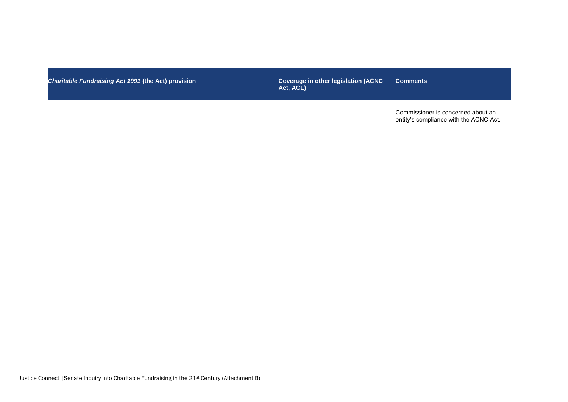**Charitable Fundraising Act 1991 (the Act) provision** 

**Coverage in other legislation (ACNC Act, ACL) Comments**

Commissioner is concerned about an entity's compliance with the ACNC Act.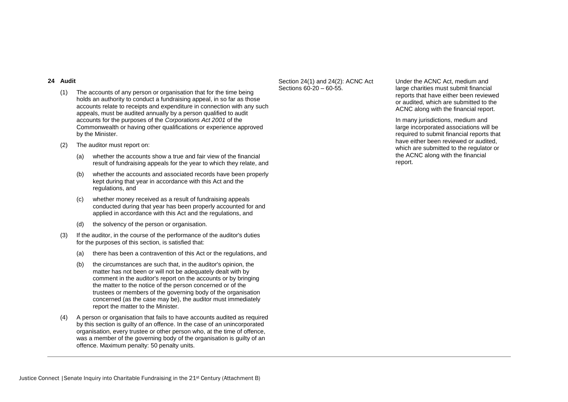### **24 Audit**

- (1) The accounts of any person or organisation that for the time being holds an authority to conduct a fundraising appeal, in so far as those accounts relate to receipts and expenditure in connection with any such appeals, must be audited annually by a person qualified to audit accounts for the purposes of the *Corporations Act 2001* of the Commonwealth or having other qualifications or experience approved by the Minister.
- (2) The auditor must report on:
	- (a) whether the accounts show a true and fair view of the financial result of fundraising appeals for the year to which they relate, and
	- (b) whether the accounts and associated records have been properly kept during that year in accordance with this Act and the regulations, and
	- (c) whether money received as a result of fundraising appeals conducted during that year has been properly accounted for and applied in accordance with this Act and the regulations, and
	- (d) the solvency of the person or organisation.
- (3) If the auditor, in the course of the performance of the auditor's duties for the purposes of this section, is satisfied that:
	- (a) there has been a contravention of this Act or the regulations, and
	- (b) the circumstances are such that, in the auditor's opinion, the matter has not been or will not be adequately dealt with by comment in the auditor's report on the accounts or by bringing the matter to the notice of the person concerned or of the trustees or members of the governing body of the organisation concerned (as the case may be), the auditor must immediately report the matter to the Minister.
- (4) A person or organisation that fails to have accounts audited as required by this section is guilty of an offence. In the case of an unincorporated organisation, every trustee or other person who, at the time of offence, was a member of the governing body of the organisation is guilty of an offence. Maximum penalty: 50 penalty units.

# Section 24(1) and 24(2): ACNC Act Sections 60-20 – 60-55.

Under the ACNC Act, medium and large charities must submit financial reports that have either been reviewed or audited, which are submitted to the ACNC along with the financial report.

In many jurisdictions, medium and large incorporated associations will be required to submit financial reports that have either been reviewed or audited, which are submitted to the regulator or the ACNC along with the financial report.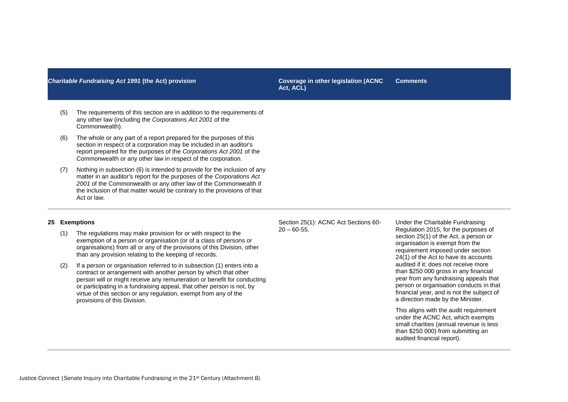**Act, ACL) Comments**

- (5) The requirements of this section are in addition to the requirements of any other law (including the *Corporations Act 2001* of the Commonwealth).
- (6) The whole or any part of a report prepared for the purposes of this section in respect of a corporation may be included in an auditor's report prepared for the purposes of the *Corporations Act 2001* of the Commonwealth or any other law in respect of the corporation.
- (7) Nothing in subsection (6) is intended to provide for the inclusion of any matter in an auditor's report for the purposes of the *Corporations Act 2001* of the Commonwealth or any other law of the Commonwealth if the inclusion of that matter would be contrary to the provisions of that Act or law.

### **25 Exemptions**

- (1) The regulations may make provision for or with respect to the exemption of a person or organisation (or of a class of persons or organisations) from all or any of the provisions of this Division, other than any provision relating to the keeping of records.
- (2) If a person or organisation referred to in subsection (1) enters into a contract or arrangement with another person by which that other person will or might receive any remuneration or benefit for conducting or participating in a fundraising appeal, that other person is not, by virtue of this section or any regulation, exempt from any of the provisions of this Division.

Section 25(1): ACNC Act Sections 60-  $20 - 60 - 55$ .

Under the Charitable Fundraising Regulation 2015, for the purposes of section 25(1) of the Act, a person or organisation is exempt from the requirement imposed under section 24(1) of the Act to have its accounts audited if it: does not receive more than \$250 000 gross in any financial year from any fundraising appeals that person or organisation conducts in that financial year, and is not the subject of a direction made by the Minister.

This aligns with the audit requirement under the ACNC Act, which exempts small charities (annual revenue is less than \$250 000) from submitting an audited financial report).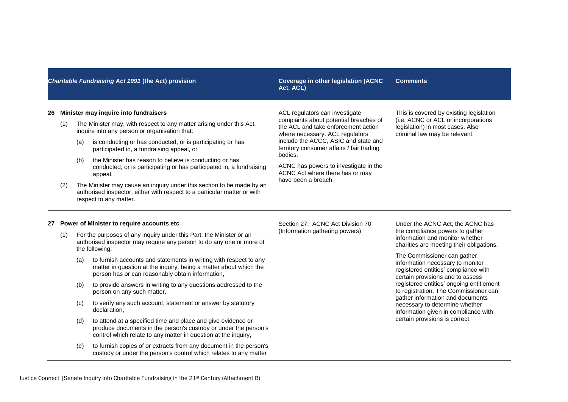# **Act, ACL) Comments**

### **26 Minister may inquire into fundraisers**

- (1) The Minister may, with respect to any matter arising under this Act, inquire into any person or organisation that:
	- (a) is conducting or has conducted, or is participating or has participated in, a fundraising appeal, or
	- (b) the Minister has reason to believe is conducting or has conducted, or is participating or has participated in, a fundraising appeal.
- (2) The Minister may cause an inquiry under this section to be made by an authorised inspector, either with respect to a particular matter or with respect to any matter.

ACL regulators can investigate complaints about potential breaches of the ACL and take enforcement action where necessary. ACL regulators include the ACCC, ASIC and state and territory consumer affairs / fair trading bodies.

ACNC has powers to investigate in the ACNC Act where there has or may have been a breach.

This is covered by existing legislation (i.e. ACNC or ACL or incorporations legislation) in most cases. Also criminal law may be relevant.

### **27 Power of Minister to require accounts etc**

- (1) For the purposes of any inquiry under this Part, the Minister or an authorised inspector may require any person to do any one or more of the following:
	- (a) to furnish accounts and statements in writing with respect to any matter in question at the inquiry, being a matter about which the person has or can reasonably obtain information,
	- (b) to provide answers in writing to any questions addressed to the person on any such matter,
	- (c) to verify any such account, statement or answer by statutory declaration,
	- (d) to attend at a specified time and place and give evidence or produce documents in the person's custody or under the person's control which relate to any matter in question at the inquiry,
	- (e) to furnish copies of or extracts from any document in the person's custody or under the person's control which relates to any matter

Section 27: ACNC Act Division 70 (Information gathering powers)

Under the ACNC Act, the ACNC has the compliance powers to gather information and monitor whether charities are meeting their obligations.

The Commissioner can gather information necessary to monitor registered entities' compliance with certain provisions and to assess registered entities' ongoing entitlement to registration. The Commissioner can gather information and documents necessary to determine whether information given in compliance with certain provisions is correct.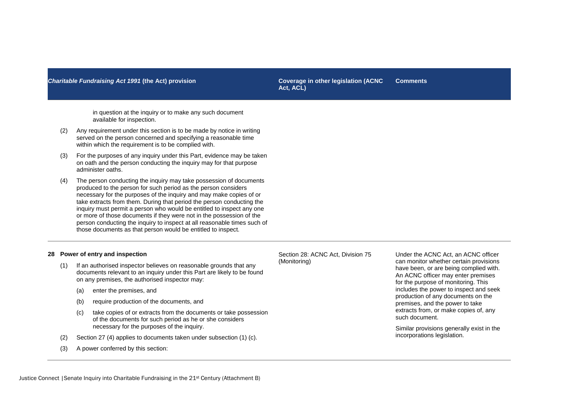**Act, ACL) Comments**

in question at the inquiry or to make any such document available for inspection.

- (2) Any requirement under this section is to be made by notice in writing served on the person concerned and specifying a reasonable time within which the requirement is to be complied with.
- (3) For the purposes of any inquiry under this Part, evidence may be taken on oath and the person conducting the inquiry may for that purpose administer oaths.
- (4) The person conducting the inquiry may take possession of documents produced to the person for such period as the person considers necessary for the purposes of the inquiry and may make copies of or take extracts from them. During that period the person conducting the inquiry must permit a person who would be entitled to inspect any one or more of those documents if they were not in the possession of the person conducting the inquiry to inspect at all reasonable times such of those documents as that person would be entitled to inspect.

### **28 Power of entry and inspection**

- (1) If an authorised inspector believes on reasonable grounds that any documents relevant to an inquiry under this Part are likely to be found on any premises, the authorised inspector may:
	- (a) enter the premises, and
	- (b) require production of the documents, and
	- (c) take copies of or extracts from the documents or take possession of the documents for such period as he or she considers necessary for the purposes of the inquiry.
- (2) Section 27 (4) applies to documents taken under subsection (1) (c).
- (3) A power conferred by this section:

Section 28: ACNC Act, Division 75 (Monitoring)

Under the ACNC Act, an ACNC officer can monitor whether certain provisions have been, or are being complied with. An ACNC officer may enter premises for the purpose of monitoring. This includes the power to inspect and seek production of any documents on the premises, and the power to take extracts from, or make copies of, any such document.

Similar provisions generally exist in the incorporations legislation.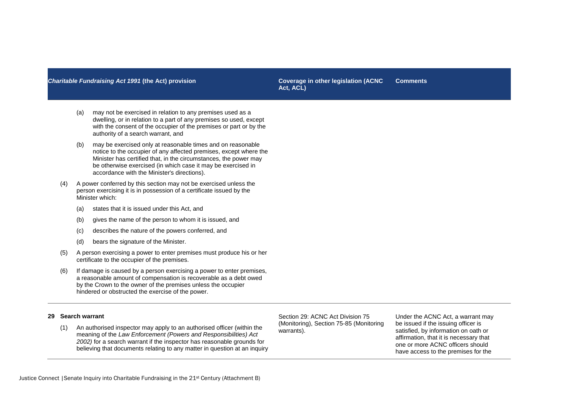**Act, ACL) Comments**

- (a) may not be exercised in relation to any premises used as a dwelling, or in relation to a part of any premises so used, except with the consent of the occupier of the premises or part or by the authority of a search warrant, and
- (b) may be exercised only at reasonable times and on reasonable notice to the occupier of any affected premises, except where the Minister has certified that, in the circumstances, the power may be otherwise exercised (in which case it may be exercised in accordance with the Minister's directions).
- (4) A power conferred by this section may not be exercised unless the person exercising it is in possession of a certificate issued by the Minister which:
	- (a) states that it is issued under this Act, and
	- (b) gives the name of the person to whom it is issued, and
	- (c) describes the nature of the powers conferred, and
	- (d) bears the signature of the Minister.
- (5) A person exercising a power to enter premises must produce his or her certificate to the occupier of the premises.
- (6) If damage is caused by a person exercising a power to enter premises, a reasonable amount of compensation is recoverable as a debt owed by the Crown to the owner of the premises unless the occupier hindered or obstructed the exercise of the power.

# **29 Search warrant**

(1) An authorised inspector may apply to an authorised officer (within the meaning of the *Law Enforcement (Powers and Responsibilities) Act 2002)* for a search warrant if the inspector has reasonable grounds for believing that documents relating to any matter in question at an inquiry Section 29: ACNC Act Division 75 (Monitoring), Section 75-85 (Monitoring warrants).

Under the ACNC Act, a warrant may be issued if the issuing officer is satisfied, by information on oath or affirmation, that it is necessary that one or more ACNC officers should have access to the premises for the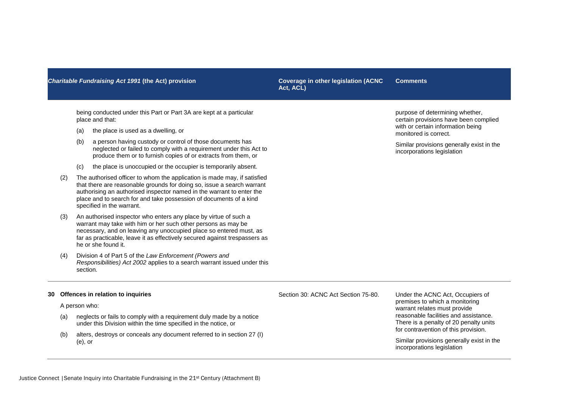**Act, ACL) Comments**

being conducted under this Part or Part 3A are kept at a particular place and that:

- (a) the place is used as a dwelling, or
- (b) a person having custody or control of those documents has neglected or failed to comply with a requirement under this Act to produce them or to furnish copies of or extracts from them, or
- (c) the place is unoccupied or the occupier is temporarily absent.
- (2) The authorised officer to whom the application is made may, if satisfied that there are reasonable grounds for doing so, issue a search warrant authorising an authorised inspector named in the warrant to enter the place and to search for and take possession of documents of a kind specified in the warrant.
- (3) An authorised inspector who enters any place by virtue of such a warrant may take with him or her such other persons as may be necessary, and on leaving any unoccupied place so entered must, as far as practicable, leave it as effectively secured against trespassers as he or she found it.
- (4) Division 4 of Part 5 of the *Law Enforcement (Powers and Responsibilities) Act 2002* applies to a search warrant issued under this section.

purpose of determining whether, certain provisions have been complied with or certain information being monitored is correct.

Similar provisions generally exist in the incorporations legislation

### **30 Offences in relation to inquiries**

### A person who:

- (a) neglects or fails to comply with a requirement duly made by a notice under this Division within the time specified in the notice, or
- (b) alters, destroys or conceals any document referred to in section 27 (I) (e), or

Section 30: ACNC Act Section 75-80. Under the ACNC Act, Occupiers of

premises to which a monitoring warrant relates must provide reasonable facilities and assistance. There is a penalty of 20 penalty units for contravention of this provision.

Similar provisions generally exist in the incorporations legislation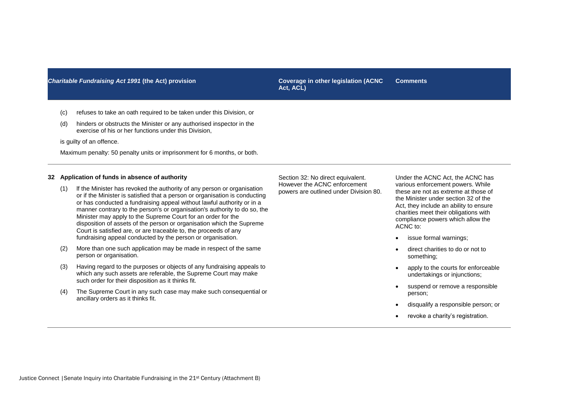**Act, ACL) Comments**

- (c) refuses to take an oath required to be taken under this Division, or
- (d) hinders or obstructs the Minister or any authorised inspector in the exercise of his or her functions under this Division,

is guilty of an offence.

Maximum penalty: 50 penalty units or imprisonment for 6 months, or both.

### **32 Application of funds in absence of authority**

- (1) lf the Minister has revoked the authority of any person or organisation or if the Minister is satisfied that a person or organisation is conducting or has conducted a fundraising appeal without lawful authority or in a manner contrary to the person's or organisation's authority to do so, the Minister may apply to the Supreme Court for an order for the disposition of assets of the person or organisation which the Supreme Court is satisfied are, or are traceable to, the proceeds of any fundraising appeal conducted by the person or organisation.
- (2) More than one such application may be made in respect of the same person or organisation.
- (3) Having regard to the purposes or objects of any fundraising appeals to which any such assets are referable, the Supreme Court may make such order for their disposition as it thinks fit.
- (4) The Supreme Court in any such case may make such consequential or ancillary orders as it thinks fit.

Section 32: No direct equivalent. However the ACNC enforcement powers are outlined under Division 80.

Under the ACNC Act, the ACNC has various enforcement powers. While these are not as extreme at those of the Minister under section 32 of the Act, they include an ability to ensure charities meet their obligations with compliance powers which allow the ACNC to:

- issue formal warnings:
- direct charities to do or not to something;
- apply to the courts for enforceable undertakings or injunctions;
- suspend or remove a responsible person;
- disqualify a responsible person; or
- revoke a charity's registration.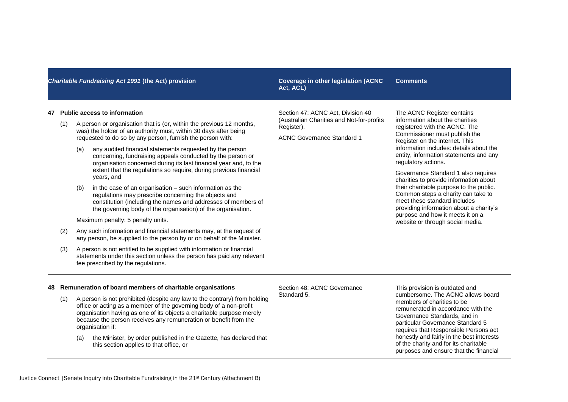**Act, ACL) Comments**

### **47 Public access to information**

- (1) A person or organisation that is (or, within the previous 12 months, was) the holder of an authority must, within 30 days after being requested to do so by any person, furnish the person with:
	- (a) any audited financial statements requested by the person concerning, fundraising appeals conducted by the person or organisation concerned during its last financial year and, to the extent that the regulations so require, during previous financial years, and
	- (b) in the case of an organisation such information as the regulations may prescribe concerning the objects and constitution (including the names and addresses of members of the governing body of the organisation) of the organisation.

Maximum penalty: 5 penalty units.

- (2) Any such information and financial statements may, at the request of any person, be supplied to the person by or on behalf of the Minister.
- (3) A person is not entitled to be supplied with information or financial statements under this section unless the person has paid any relevant fee prescribed by the regulations.

Section 47: ACNC Act, Division 40 (Australian Charities and Not-for-profits Register).

ACNC Governance Standard 1

The ACNC Register contains information about the charities registered with the ACNC. The Commissioner must publish the Register on the internet. This information includes: details about the entity, information statements and any regulatory actions.

Governance Standard 1 also requires charities to provide information about their charitable purpose to the public. Common steps a charity can take to meet these standard includes providing information about a charity's purpose and how it meets it on a website or through social media.

### **48 Remuneration of board members of charitable organisations**

- (1) A person is not prohibited (despite any law to the contrary) from holding office or acting as a member of the governing body of a non-profit organisation having as one of its objects a charitable purpose merely because the person receives any remuneration or benefit from the organisation if:
	- (a) the Minister, by order published in the Gazette, has declared that this section applies to that office, or

Section 48: ACNC Governance Standard 5.

This provision is outdated and cumbersome. The ACNC allows board members of charities to be remunerated in accordance with the Governance Standards, and in particular Governance Standard 5 requires that Responsible Persons act honestly and fairly in the best interests of the charity and for its charitable purposes and ensure that the financial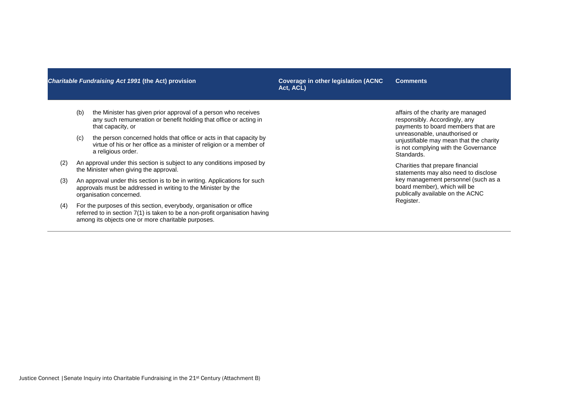**Act, ACL) Comments**

- (b) the Minister has given prior approval of a person who receives any such remuneration or benefit holding that office or acting in that capacity, or
- (c) the person concerned holds that office or acts in that capacity by virtue of his or her office as a minister of religion or a member of a religious order.
- (2) An approval under this section is subject to any conditions imposed by the Minister when giving the approval.
- (3) An approval under this section is to be in writing. Applications for such approvals must be addressed in writing to the Minister by the organisation concerned.
- (4) For the purposes of this section, everybody, organisation or office referred to in section 7(1) is taken to be a non-profit organisation having among its objects one or more charitable purposes.

affairs of the charity are managed responsibly. Accordingly, any payments to board members that are unreasonable, unauthorised or unjustifiable may mean that the charity is not complying with the Governance Standards.

Charities that prepare financial statements may also need to disclose key management personnel (such as a board member), which will be publically available on the ACNC Register.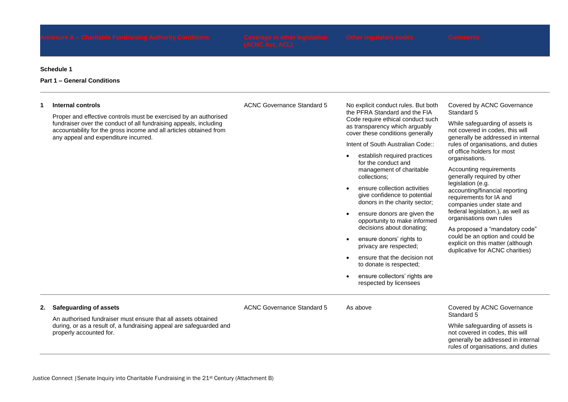### **Schedule 1**

# **Part 1 – General Conditions**

### **1 Internal controls**

Proper and effective controls must be exercised by an authorised fundraiser over the conduct of all fundraising appeals, including accountability for the gross income and all articles obtained from any appeal and expenditure incurred.

ACNC Governance Standard 5 No explicit conduct rules. But both

the PFRA Standard and the FIA Code require ethical conduct such as transparency which arguably cover these conditions generally

Intent of South Australian Code::

- establish required practices for the conduct and management of charitable collections;
- **•** ensure collection activities give confidence to potential donors in the charity sector;
- ensure donors are given the opportunity to make informed decisions about donating;
- ensure donors' rights to privacy are respected;
- ensure that the decision not to donate is respected;
- ensure collectors' rights are respected by licensees

ACNC Governance Standard 5 As above Covered by ACNC Governance

Covered by ACNC Governance Standard 5

While safeguarding of assets is not covered in codes, this will generally be addressed in internal rules of organisations, and duties of office holders for most organisations.

Accounting requirements generally required by other legislation (e.g. accounting/financial reporting requirements for IA and companies under state and federal legislation.), as well as organisations own rules

As proposed a "mandatory code" could be an option and could be explicit on this matter (although duplicative for ACNC charities)

### **2. Safeguarding of assets**

An authorised fundraiser must ensure that all assets obtained during, or as a result of, a fundraising appeal are safeguarded and properly accounted for.

Standard 5 While safeguarding of assets is not covered in codes, this will

generally be addressed in internal rules of organisations, and duties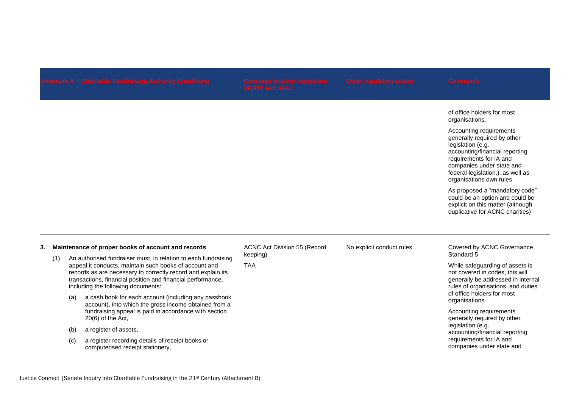of office holders for most organisations.

Accounting requirements generally required by other legislation (e.g. accounting/financial reporting requirements for IA and companies under state and federal legislation.), as well as organisations own rules

As proposed a "mandatory code" could be an option and could be explicit on this matter (although duplicative for ACNC charities)

### **3. Maintenance of proper books of account and records**

- (1) An authorised fundraiser must, in relation to each fundraising appeal it conducts, maintain such books of account and records as are necessary to correctly record and explain its transactions, financial position and financial performance, including the following documents:
	- (a) a cash book for each account (including any passbook account), into which the gross income obtained from a fundraising appeal is paid in accordance with section 20(6) of the Act,
	- (b) a register of assets,
	- (c) a register recording details of receipt books or computerised receipt stationery,

ACNC Act Division 55 (Record keeping)

TAA

### No explicit conduct rules Covered by ACNC Governance Standard 5

While safeguarding of assets is not covered in codes, this will generally be addressed in internal rules of organisations, and duties of office holders for most organisations.

Accounting requirements generally required by other legislation (e.g. accounting/financial reporting requirements for IA and companies under state and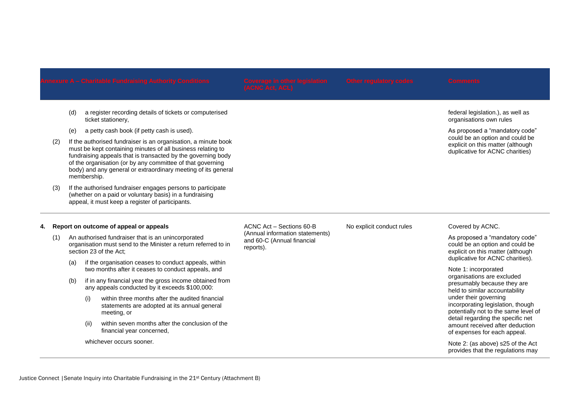(d) a register recording details of tickets or computerised ticket stationery,

- (e) a petty cash book (if petty cash is used).
- (2) If the authorised fundraiser is an organisation, a minute book must be kept containing minutes of all business relating to fundraising appeals that is transacted by the governing body of the organisation (or by any committee of that governing body) and any general or extraordinary meeting of its general membership.
- (3) If the authorised fundraiser engages persons to participate (whether on a paid or voluntary basis) in a fundraising appeal, it must keep a register of participants.

# **4. Report on outcome of appeal or appeals**

- (1) An authorised fundraiser that is an unincorporated organisation must send to the Minister a return referred to in section 23 of the Act;
	- (a) if the organisation ceases to conduct appeals, within two months after it ceases to conduct appeals, and
	- (b) if in any financial year the gross income obtained from any appeals conducted by it exceeds \$100,000:
		- (i) within three months after the audited financial statements are adopted at its annual general meeting, or
		- (ii) within seven months after the conclusion of the financial year concerned,

whichever occurs sooner

ACNC Act – Sections 60-B (Annual information statements) and 60-C (Annual financial reports).

As proposed a "mandatory code" could be an option and could be explicit on this matter (although

duplicative for ACNC charities)

federal legislation.), as well as organisations own rules

No explicit conduct rules Covered by ACNC.

As proposed a "mandatory code" could be an option and could be explicit on this matter (although duplicative for ACNC charities).

Note 1: incorporated organisations are excluded presumably because they are held to similar accountability under their governing incorporating legislation, though potentially not to the same level of detail regarding the specific net amount received after deduction of expenses for each appeal.

Note 2: (as above) s25 of the Act provides that the regulations may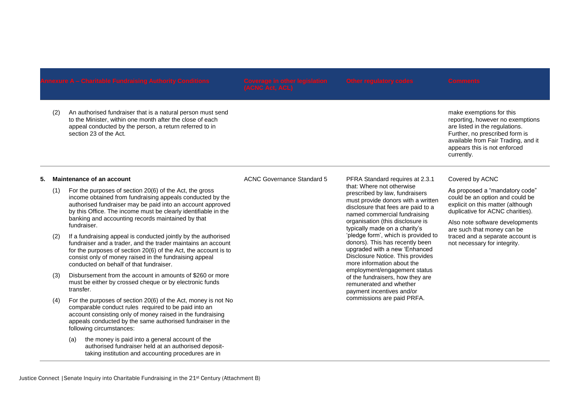(2) An authorised fundraiser that is a natural person must send to the Minister, within one month after the close of each appeal conducted by the person, a return referred to in section 23 of the Act.

make exemptions for this reporting, however no exemptions are listed in the regulations. Further, no prescribed form is available from Fair Trading, and it appears this is not enforced currently.

# **5. Maintenance of an account**

- (1) For the purposes of section 20(6) of the Act, the gross income obtained from fundraising appeals conducted by the authorised fundraiser may be paid into an account approved by this Office. The income must be clearly identifiable in the banking and accounting records maintained by that fundraiser.
- (2) If a fundraising appeal is conducted jointly by the authorised fundraiser and a trader, and the trader maintains an account for the purposes of section 20(6) of the Act, the account is to consist only of money raised in the fundraising appeal conducted on behalf of that fundraiser.
- (3) Disbursement from the account in amounts of \$260 or more must be either by crossed cheque or by electronic funds transfer.
- (4) For the purposes of section 20(6) of the Act, money is not No comparable conduct rules required to be paid into an account consisting only of money raised in the fundraising appeals conducted by the same authorised fundraiser in the following circumstances:
	- (a) the money is paid into a general account of the authorised fundraiser held at an authorised deposittaking institution and accounting procedures are in

# ACNC Governance Standard 5 PFRA Standard requires at 2.3.1

that: Where not otherwise prescribed by law, fundraisers must provide donors with a written disclosure that fees are paid to a named commercial fundraising organisation (this disclosure is typically made on a charity's 'pledge form', which is provided to donors). This has recently been upgraded with a new 'Enhanced Disclosure Notice. This provides more information about the employment/engagement status of the fundraisers, how they are remunerated and whether payment incentives and/or commissions are paid PRFA.

# Covered by ACNC

As proposed a "mandatory code" could be an option and could be explicit on this matter (although duplicative for ACNC charities).

Also note software developments are such that money can be traced and a separate account is not necessary for integrity.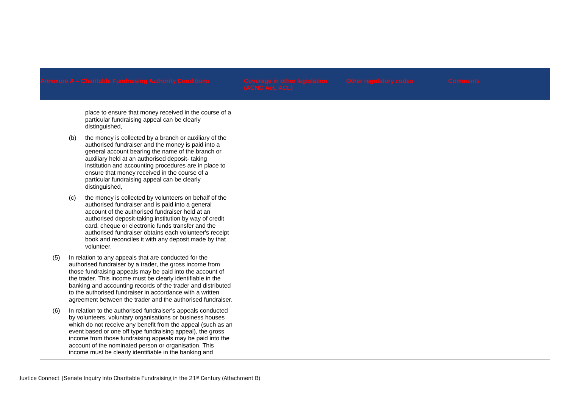place to ensure that money received in the course of a particular fundraising appeal can be clearly distinguished,

- (b) the money is collected by a branch or auxiliary of the authorised fundraiser and the money is paid into a general account bearing the name of the branch or auxiliary held at an authorised deposit- taking institution and accounting procedures are in place to ensure that money received in the course of a particular fundraising appeal can be clearly distinguished,
- (c) the money is collected by volunteers on behalf of the authorised fundraiser and is paid into a general account of the authorised fundraiser held at an authorised deposit-taking institution by way of credit card, cheque or electronic funds transfer and the authorised fundraiser obtains each volunteer's receipt book and reconciles it with any deposit made by that volunteer.
- (5) In relation to any appeals that are conducted for the authorised fundraiser by a trader, the gross income from those fundraising appeals may be paid into the account of the trader. This income must be clearly identifiable in the banking and accounting records of the trader and distributed to the authorised fundraiser in accordance with a written agreement between the trader and the authorised fundraiser.
- (6) In relation to the authorised fundraiser's appeals conducted by volunteers, voluntary organisations or business houses which do not receive any benefit from the appeal (such as an event based or one off type fundraising appeal), the gross income from those fundraising appeals may be paid into the account of the nominated person or organisation. This income must be clearly identifiable in the banking and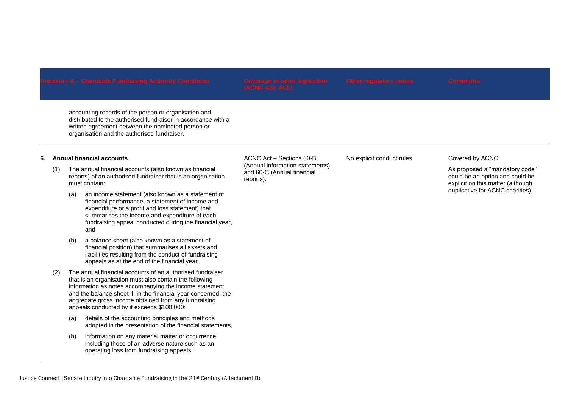accounting records of the person or organisation and distributed to the authorised fundraiser in accordance with a written agreement between the nominated person or organisation and the authorised fundraiser.

# **6. Annual financial accounts**

- (1) The annual financial accounts (also known as financial reports) of an authorised fundraiser that is an organisation must contain:
	- (a) an income statement (also known as a statement of financial performance, a statement of income and expenditure or a profit and loss statement) that summarises the income and expenditure of each fundraising appeal conducted during the financial year, and
	- (b) a balance sheet (also known as a statement of financial position) that summarises all assets and liabilities resulting from the conduct of fundraising appeals as at the end of the financial year.
- (2) The annual financial accounts of an authorised fundraiser that is an organisation must also contain the following information as notes accompanying the income statement and the balance sheet if, in the financial year concerned, the aggregate gross income obtained from any fundraising appeals conducted by it exceeds \$100,000:
	- (a) details of the accounting principles and methods adopted in the presentation of the financial statements,
	- (b) information on any material matter or occurrence, including those of an adverse nature such as an operating loss from fundraising appeals,

ACNC Act – Sections 60-B (Annual information statements) and 60-C (Annual financial reports).

No explicit conduct rules Covered by ACNC

As proposed a "mandatory code" could be an option and could be explicit on this matter (although duplicative for ACNC charities).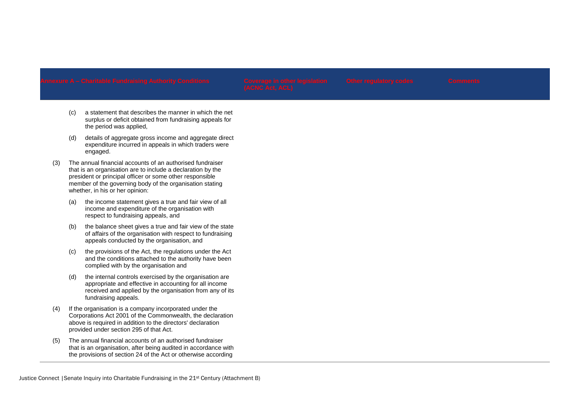- (c) a statement that describes the manner in which the net surplus or deficit obtained from fundraising appeals for the period was applied,
- (d) details of aggregate gross income and aggregate direct expenditure incurred in appeals in which traders were engaged.
- (3) The annual financial accounts of an authorised fundraiser that is an organisation are to include a declaration by the president or principal officer or some other responsible member of the governing body of the organisation stating whether, in his or her opinion:
	- (a) the income statement gives a true and fair view of all income and expenditure of the organisation with respect to fundraising appeals, and
	- (b) the balance sheet gives a true and fair view of the state of affairs of the organisation with respect to fundraising appeals conducted by the organisation, and
	- (c) the provisions of the Act, the regulations under the Act and the conditions attached to the authority have been complied with by the organisation and
	- (d) the internal controls exercised by the organisation are appropriate and effective in accounting for all income received and applied by the organisation from any of its fundraising appeals.
- (4) If the organisation is a company incorporated under the Corporations Act 2001 of the Commonwealth, the declaration above is required in addition to the directors' declaration provided under section 295 of that Act.
- (5) The annual financial accounts of an authorised fundraiser that is an organisation, after being audited in accordance with the provisions of section 24 of the Act or otherwise according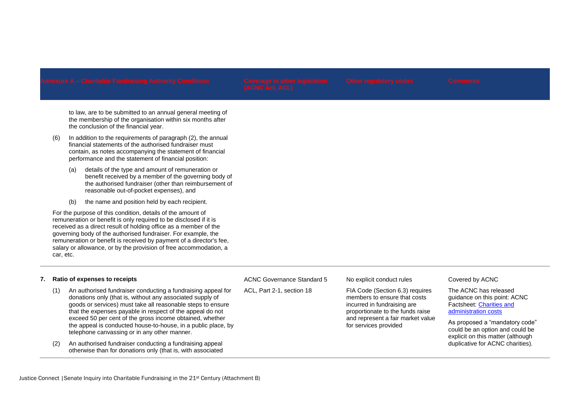ACNC Governance Standard 5

ACL, Part 2-1, section 18

to law, are to be submitted to an annual general meeting of the membership of the organisation within six months after the conclusion of the financial year.

- (6) In addition to the requirements of paragraph (2), the annual financial statements of the authorised fundraiser must contain, as notes accompanying the statement of financial performance and the statement of financial position:
	- (a) details of the type and amount of remuneration or benefit received by a member of the governing body of the authorised fundraiser (other than reimbursement of reasonable out-of-pocket expenses), and
	- (b) the name and position held by each recipient.

For the purpose of this condition, details of the amount of remuneration or benefit is only required to be disclosed if it is received as a direct result of holding office as a member of the governing body of the authorised fundraiser. For example, the remuneration or benefit is received by payment of a director's fee, salary or allowance, or by the provision of free accommodation, a car, etc.

# **7. Ratio of expenses to receipts**

- (1) An authorised fundraiser conducting a fundraising appeal for donations only (that is, without any associated supply of goods or services) must take all reasonable steps to ensure that the expenses payable in respect of the appeal do not exceed 50 per cent of the gross income obtained, whether the appeal is conducted house-to-house, in a public place, by telephone canvassing or in any other manner.
- (2) An authorised fundraiser conducting a fundraising appeal otherwise than for donations only (that is, with associated

No explicit conduct rules

FIA Code (Section 6.3) requires members to ensure that costs incurred in fundraising are proportionate to the funds raise and represent a fair market value for services provided

# Covered by ACNC

The ACNC has released guidance on this point: ACNC Factsheet: [Charities and](https://www.acnc.gov.au/ACNC/FTS/Fact_administration.aspx)  [administration costs](https://www.acnc.gov.au/ACNC/FTS/Fact_administration.aspx)

As proposed a "mandatory code" could be an option and could be explicit on this matter (although duplicative for ACNC charities).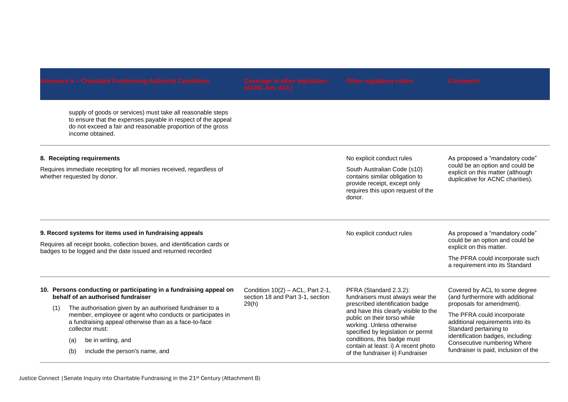supply of goods or services) must take all reasonable steps to ensure that the expenses payable in respect of the appeal do not exceed a fair and reasonable proportion of the gross income obtained.

# **8. Receipting requirements**

Requires immediate receipting for all monies received, regardless of whether requested by donor.

# No explicit conduct rules

South Australian Code (s10) contains similar obligation to provide receipt, except only requires this upon request of the donor.

of the fundraiser ii) Fundraiser

As proposed a "mandatory code" could be an option and could be explicit on this matter (although duplicative for ACNC charities).

|     | 9. Record systems for items used in fundraising appeals                                                                                                                                           | No explicit conduct rules                                              | As proposed a "mandatory code"<br>could be an option and could be<br>explicit on this matter.                                                                                                                                                                                                                                                     |                                                                                                                                                                                                                                   |
|-----|---------------------------------------------------------------------------------------------------------------------------------------------------------------------------------------------------|------------------------------------------------------------------------|---------------------------------------------------------------------------------------------------------------------------------------------------------------------------------------------------------------------------------------------------------------------------------------------------------------------------------------------------|-----------------------------------------------------------------------------------------------------------------------------------------------------------------------------------------------------------------------------------|
|     | Requires all receipt books, collection boxes, and identification cards or<br>badges to be logged and the date issued and returned recorded                                                        |                                                                        |                                                                                                                                                                                                                                                                                                                                                   |                                                                                                                                                                                                                                   |
|     |                                                                                                                                                                                                   |                                                                        |                                                                                                                                                                                                                                                                                                                                                   | The PFRA could incorporate such<br>a requirement into its Standard                                                                                                                                                                |
| (1) | 10. Persons conducting or participating in a fundraising appeal on<br>behalf of an authorised fundraiser                                                                                          | Condition $10(2)$ – ACL, Part 2-1,<br>section 18 and Part 3-1, section | PFRA (Standard 2.3.2):<br>fundraisers must always wear the<br>prescribed identification badge<br>and have this clearly visible to the<br>public on their torso while<br>working. Unless otherwise<br>specified by legislation or permit<br>conditions, this badge must<br>contain at least: i) A recent photo<br>of the fundraicer ii) Eundraicer | Covered by ACL to some degree<br>(and furthermore with additional                                                                                                                                                                 |
|     | The authorisation given by an authorised fundraiser to a<br>member, employee or agent who conducts or participates in<br>a fundraising appeal otherwise than as a face-to-face<br>collector must: | 29(h)                                                                  |                                                                                                                                                                                                                                                                                                                                                   | proposals for amendment).<br>The PFRA could incorporate<br>additional requirements into its<br>Standard pertaining to<br>identification badges, including:<br>Consecutive numbering Where<br>fundraiser is paid, inclusion of the |
|     | be in writing, and<br>(a)<br>include the person's name, and<br>(b)                                                                                                                                |                                                                        |                                                                                                                                                                                                                                                                                                                                                   |                                                                                                                                                                                                                                   |

(b) include the person's name, and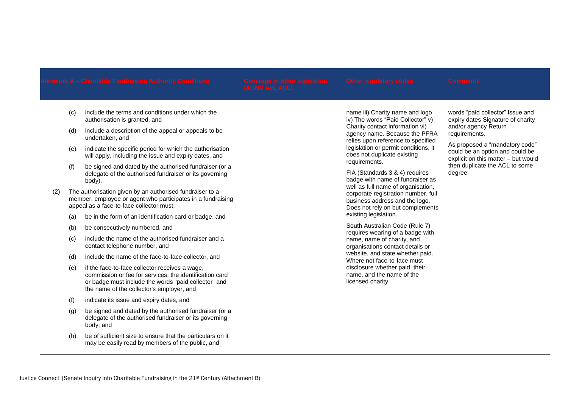- (c) include the terms and conditions under which the authorisation is granted, and
- (d) include a description of the appeal or appeals to be undertaken, and
- (e) indicate the specific period for which the authorisation will apply, including the issue and expiry dates, and
- (f) be signed and dated by the authorised fundraiser (or a delegate of the authorised fundraiser or its governing body).
- (2) The authorisation given by an authorised fundraiser to a member, employee or agent who participates in a fundraising appeal as a face-to-face collector must:
	- (a) be in the form of an identification card or badge, and
	- (b) be consecutively numbered, and
	- (c) include the name of the authorised fundraiser and a contact telephone number, and
	- (d) include the name of the face-to-face collector, and
	- (e) if the face-to-face collector receives a wage, commission or fee for services, the identification card or badge must include the words "paid collector" and the name of the collector's employer, and
	- (f) indicate its issue and expiry dates, and
	- (g) be signed and dated by the authorised fundraiser (or a delegate of the authorised fundraiser or its governing body, and
	- (h) be of sufficient size to ensure that the particulars on it may be easily read by members of the public, and

name iii) Charity name and logo iv) The words "Paid Collector" v) Charity contact information vi) agency name. Because the PFRA relies upon reference to specified legislation or permit conditions, it does not duplicate existing requirements.

FIA (Standards 3 & 4) requires badge with name of fundraiser as well as full name of organisation. corporate registration number, full business address and the logo. Does not rely on but complements existing legislation.

South Australian Code (Rule 7) requires wearing of a badge with name, name of charity, and organisations contact details or website, and state whether paid. Where not face-to-face must disclosure whether paid, their name, and the name of the licensed charity

words "paid collector" Issue and expiry dates Signature of charity and/or agency Return requirements.

As proposed a "mandatory code" could be an option and could be explicit on this matter – but would then duplicate the ACL to some degree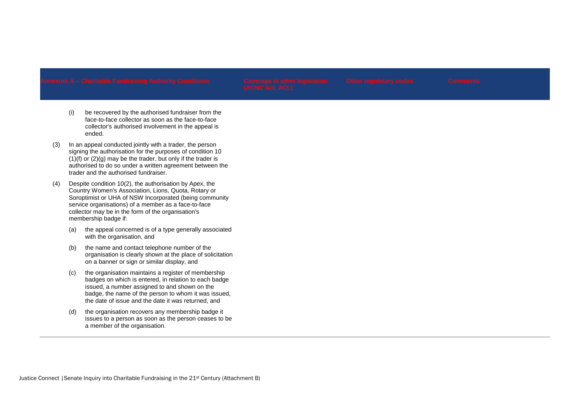- (i) be recovered by the authorised fundraiser from the face-to-face collector as soon as the face-to-face collector's authorised involvement in the appeal is ended.
- (3) In an appeal conducted jointly with a trader, the person signing the authorisation for the purposes of condition 10  $(1)(f)$  or  $(2)(g)$  may be the trader, but only if the trader is authorised to do so under a written agreement between the trader and the authorised fundraiser.
- (4) Despite condition 10(2), the authorisation by Apex, the Country Women's Association, Lions, Quota, Rotary or Soroptimist or UHA of NSW Incorporated (being community service organisations) of a member as a face-to-face collector may be in the form of the organisation's membership badge if:
	- (a) the appeal concerned is of a type generally associated with the organisation, and
	- (b) the name and contact telephone number of the organisation is clearly shown at the place of solicitation on a banner or sign or similar display, and
	- (c) the organisation maintains a register of membership badges on which is entered, in relation to each badge issued, a number assigned to and shown on the badge, the name of the person to whom it was issued, the date of issue and the date it was returned, and
	- (d) the organisation recovers any membership badge it issues to a person as soon as the person ceases to be a member of the organisation.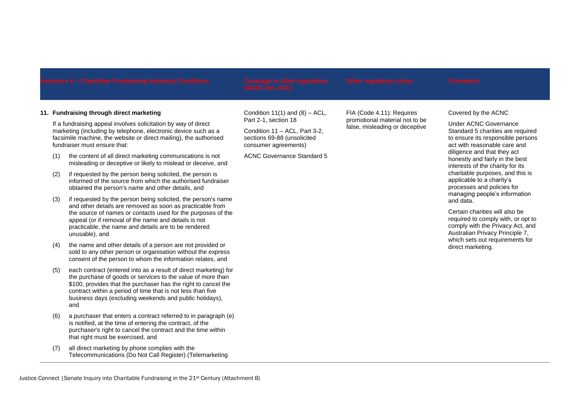# **11. Fundraising through direct marketing**

If a fundraising appeal involves solicitation by way of direct marketing (including by telephone, electronic device such as a facsimile machine, the website or direct mailing), the authorised fundraiser must ensure that:

- (1) the content of all direct marketing communications is not misleading or deceptive or likely to mislead or deceive, and
- (2) if requested by the person being solicited, the person is informed of the source from which the authorised fundraiser obtained the person's name and other details, and
- (3) if requested by the person being solicited, the person's name and other details are removed as soon as practicable from the source of names or contacts used for the purposes of the appeal (or if removal of the name and details is not practicable, the name and details are to be rendered unusable), and
- (4) the name and other details of a person are not provided or sold to any other person or organisation without the express consent of the person to whom the information relates, and
- (5) each contract (entered into as a result of direct marketing) for the purchase of goods or services to the value of more than \$100, provides that the purchaser has the right to cancel the contract within a period of time that is not less than five business days (excluding weekends and public holidays), and
- (6) a purchaser that enters a contract referred to in paragraph (e) is notified, at the time of entering the contract, of the purchaser's right to cancel the contract and the time within that right must be exercised, and
- (7) all direct marketing by phone complies with the Telecommunications (Do Not Call Register) (Telemarketing

Condition  $11(1)$  and  $(8) - ACL$ . Part 2-1, section 18

Condition 11 – ACL, Part 3-2, sections 69-88 (unsolicited consumer agreements)

ACNC Governance Standard 5

FIA (Code 4.11): Requires promotional material not to be false, misleading or deceptive

### Covered by the ACNC

Under ACNC Governance Standard 5 charities are required to ensure its responsible persons act with reasonable care and diligence and that they act honestly and fairly in the best interests of the charity for its charitable purposes, and this is applicable to a charity's processes and policies for managing people's information and data.

Certain charities will also be required to comply with, or opt to comply with the Privacy Act, and Australian Privacy Principle 7, which sets out requirements for direct marketing.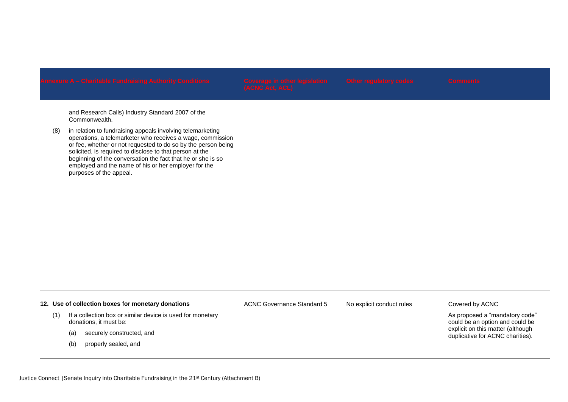and Research Calls) Industry Standard 2007 of the Commonwealth.

(8) in relation to fundraising appeals involving telemarketing operations, a telemarketer who receives a wage, commission or fee, whether or not requested to do so by the person being solicited, is required to disclose to that person at the beginning of the conversation the fact that he or she is so employed and the name of his or her employer for the purposes of the appeal.

# **12. Use of collection boxes for monetary donations**

- (1) If a collection box or similar device is used for monetary donations, it must be:
	- (a) securely constructed, and
	- (b) properly sealed, and

ACNC Governance Standard 5 No explicit conduct rules Covered by ACNC

As proposed a "mandatory code" could be an option and could be explicit on this matter (although duplicative for ACNC charities).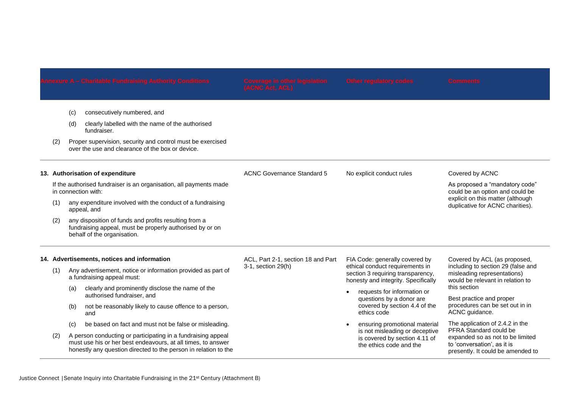ACNC Governance Standard 5 No explicit conduct rules Covered by ACNC

- (c) consecutively numbered, and
- (d) clearly labelled with the name of the authorised fundraiser.
- (2) Proper supervision, security and control must be exercised over the use and clearance of the box or device.

### **13. Authorisation of expenditure**

If the authorised fundraiser is an organisation, all payments made in connection with:

- (1) any expenditure involved with the conduct of a fundraising appeal, and
- (2) any disposition of funds and profits resulting from a fundraising appeal, must be properly authorised by or on behalf of the organisation.

# ACL, Part 2-1, section 18 and Part 3-1, section 29(h)

- FIA Code: generally covered by ethical conduct requirements in section 3 requiring transparency, honesty and integrity. Specifically
- requests for information or questions by a donor are covered by section 4.4 of the ethics code
- ensuring promotional material is not misleading or deceptive is covered by section 4.11 of the ethics code and the

Covered by ACL (as proposed, including to section 29 (false and misleading representations) would be relevant in relation to this section

As proposed a "mandatory code" could be an option and could be explicit on this matter (although duplicative for ACNC charities).

Best practice and proper procedures can be set out in in ACNC quidance.

The application of 2.4.2 in the PFRA Standard could be expanded so as not to be limited to 'conversation', as it is presently. It could be amended to

# **14. Advertisements, notices and information**

- (1) Any advertisement, notice or information provided as part of a fundraising appeal must:
	- (a) clearly and prominently disclose the name of the authorised fundraiser, and
	- (b) not be reasonably likely to cause offence to a person, and
	- (c) be based on fact and must not be false or misleading.
- (2) A person conducting or participating in a fundraising appeal must use his or her best endeavours, at all times, to answer honestly any question directed to the person in relation to the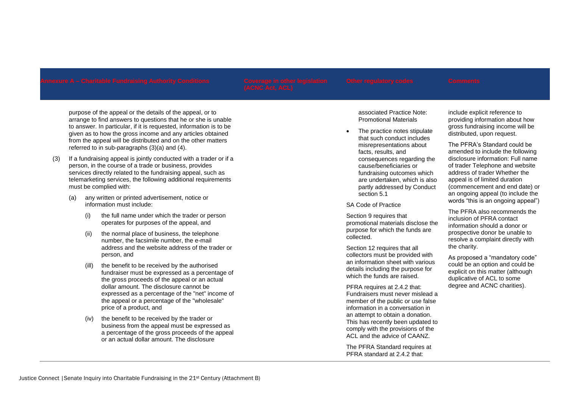purpose of the appeal or the details of the appeal, or to arrange to find answers to questions that he or she is unable to answer. In particular, if it is requested, information is to be given as to how the gross income and any articles obtained from the appeal will be distributed and on the other matters referred to in sub-paragraphs (3)(a) and (4).

- (3) If a fundraising appeal is jointly conducted with a trader or if a person, in the course of a trade or business, provides services directly related to the fundraising appeal, such as telemarketing services, the following additional requirements must be complied with:
	- (a) any written or printed advertisement, notice or information must include:
		- (i) the full name under which the trader or person operates for purposes of the appeal, and
		- (ii) the normal place of business, the telephone number, the facsimile number, the e-mail address and the website address of the trader or person, and
		- (ill) the benefit to be received by the authorised fundraiser must be expressed as a percentage of the gross proceeds of the appeal or an actual dollar amount. The disclosure cannot be expressed as a percentage of the "net" income of the appeal or a percentage of the "wholesale" price of a product, and
		- (iv) the benefit to be received by the trader or business from the appeal must be expressed as a percentage of the gross proceeds of the appeal or an actual dollar amount. The disclosure

associated Practice Note: Promotional Materials

 The practice notes stipulate that such conduct includes misrepresentations about facts, results, and consequences regarding the cause/beneficiaries or fundraising outcomes which are undertaken, which is also partly addressed by Conduct section 5.1

SA Code of Practice

Section 9 requires that promotional materials disclose the purpose for which the funds are collected.

Section 12 requires that all collectors must be provided with an information sheet with various details including the purpose for which the funds are raised.

PFRA requires at 2.4.2 that: Fundraisers must never mislead a member of the public or use false information in a conversation in an attempt to obtain a donation. This has recently been updated to comply with the provisions of the ACL and the advice of CAANZ.

The PFRA Standard requires at PFRA standard at 2.4.2 that:

include explicit reference to providing information about how gross fundraising income will be distributed, upon request.

The PFRA's Standard could be amended to include the following disclosure information: Full name of trader Telephone and website address of trader Whether the appeal is of limited duration (commencement and end date) or an ongoing appeal (to include the words "this is an ongoing appeal")

The PFRA also recommends the inclusion of PFRA contact information should a donor or prospective donor be unable to resolve a complaint directly with the charity.

As proposed a "mandatory code" could be an option and could be explicit on this matter (although duplicative of ACL to some degree and ACNC charities).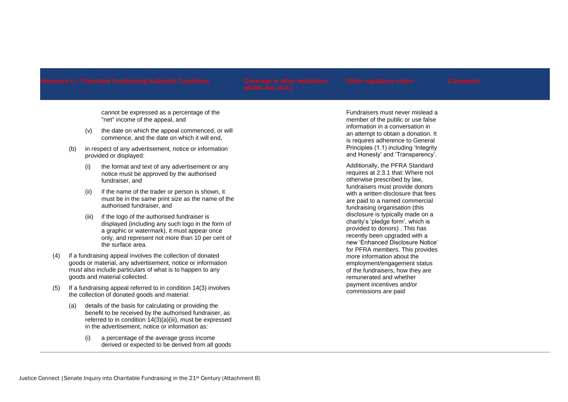cannot be expressed as a percentage of the "net" income of the appeal, and

- (v) the date on which the appeal commenced, or will commence, and the date on which it will end,
- (b) in respect of any advertisement, notice or information provided or displayed:
	- (i) the format and text of any advertisement or any notice must be approved by the authorised fundraiser, and
	- (ii) if the name of the trader or person is shown, it must be in the same print size as the name of the authorised fundraiser, and
	- (iii) if the logo of the authorised fundraiser is displayed (including any such logo in the form of a graphic or watermark), it must appear once only, and represent not more than 10 per cent of the surface area.
- (4) if a fundraising appeal involves the collection of donated goods or material, any advertisement, notice or information must also include particulars of what is to happen to any goods and material collected.
- (5) If a fundraising appeal referred to in condition 14(3) involves the collection of donated goods and material:
	- (a) details of the basis for calculating or providing the benefit to be received by the authorised fundraiser, as referred to in condition 14(3)(a)(iii), must be expressed in the advertisement, notice or information as:
		- (i) a percentage of the average gross income derived or expected to be derived from all goods

Fundraisers must never mislead a member of the public or use false information in a conversation in an attempt to obtain a donation. It is requires adherence to General Principles (1.1) including 'Integrity and Honesty' and 'Transparency'.

Additionally, the PFRA Standard requires at 2.3.1 that: Where not otherwise prescribed by law, fundraisers must provide donors with a written disclosure that fees are paid to a named commercial fundraising organisation (this disclosure is typically made on a charity's 'pledge form', which is provided to donors) . This has recently been upgraded with a new 'Enhanced Disclosure Notice' for PFRA members. This provides more information about the employment/engagement status of the fundraisers, how they are remunerated and whether payment incentives and/or commissions are paid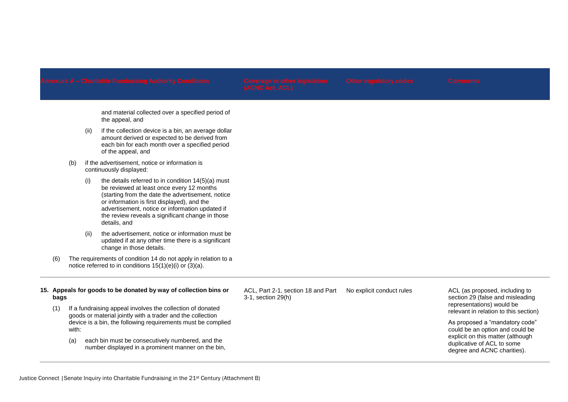and material collected over a specified period of the appeal, and

- (ii) if the collection device is a bin, an average dollar amount derived or expected to be derived from each bin for each month over a specified period of the appeal, and
- (b) if the advertisement, notice or information is continuously displayed:
	- (i) the details referred to in condition  $14(5)(a)$  must be reviewed at least once every 12 months (starting from the date the advertisement, notice or information is first displayed), and the advertisement, notice or information updated if the review reveals a significant change in those details, and
	- (ii) the advertisement, notice or information must be updated if at any other time there is a significant change in those details.
- (6) The requirements of condition 14 do not apply in relation to a notice referred to in conditions 15(1)(e)(i) or (3)(a).

# **15. Appeals for goods to be donated by way of collection bins or bags**

(1) If a fundraising appeal involves the collection of donated goods or material jointly with a trader and the collection device is a bin, the following requirements must be complied with:

(a) each bin must be consecutively numbered, and the number displayed in a prominent manner on the bin, ACL, Part 2-1, section 18 and Part 3-1, section 29(h)

No explicit conduct rules ACL (as proposed, including to section 29 (false and misleading representations) would be relevant in relation to this section)

> As proposed a "mandatory code" could be an option and could be explicit on this matter (although duplicative of ACL to some degree and ACNC charities).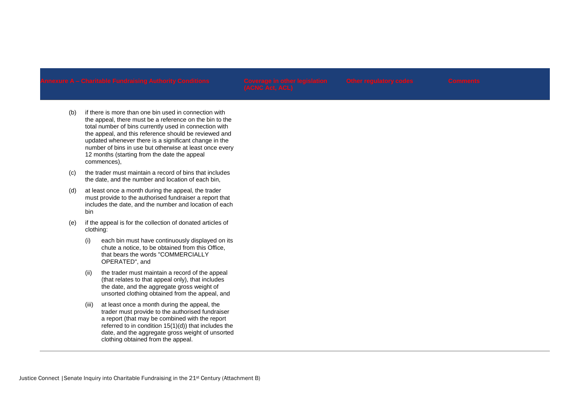- (b) if there is more than one bin used in connection with the appeal, there must be a reference on the bin to the total number of bins currently used in connection with the appeal, and this reference should be reviewed and updated whenever there is a significant change in the number of bins in use but otherwise at least once every 12 months (starting from the date the appeal commences),
- (c) the trader must maintain a record of bins that includes the date, and the number and location of each bin,
- (d) at least once a month during the appeal, the trader must provide to the authorised fundraiser a report that includes the date, and the number and location of each bin
- (e) if the appeal is for the collection of donated articles of clothing:
	- (i) each bin must have continuously displayed on its chute a notice, to be obtained from this Office, that bears the words "COMMERCIALLY OPERATED", and
	- (ii) the trader must maintain a record of the appeal (that relates to that appeal only), that includes the date, and the aggregate gross weight of unsorted clothing obtained from the appeal, and
	- (iii) at least once a month during the appeal, the trader must provide to the authorised fundraiser a report (that may be combined with the report referred to in condition 15(1)(d)) that includes the date, and the aggregate gross weight of unsorted clothing obtained from the appeal.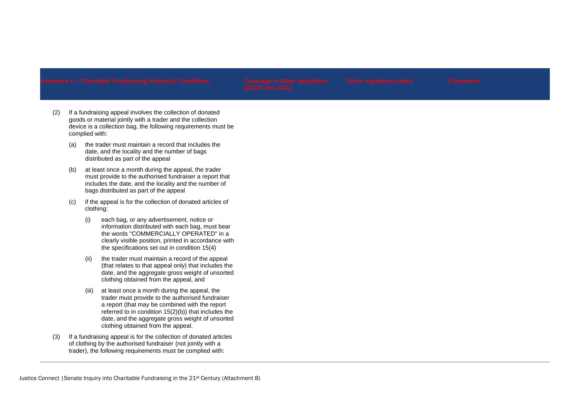- (2) If a fundraising appeal involves the collection of donated goods or material jointly with a trader and the collection device is a collection bag, the following requirements must be complied with:
	- (a) the trader must maintain a record that includes the date, and the locality and the number of bags distributed as part of the appeal
	- (b) at least once a month during the appeal, the trader must provide to the authorised fundraiser a report that includes the date, and the locality and the number of bags distributed as part of the appeal
	- (c) if the appeal is for the collection of donated articles of clothing:
		- (i) each bag, or any advertisement, notice or information distributed with each bag, must bear the words "COMMERCIALLY OPERATED" in a clearly visible position, printed in accordance with the specifications set out in condition 15(4)
		- (ii) the trader must maintain a record of the appeal (that relates to that appeal only) that includes the date, and the aggregate gross weight of unsorted clothing obtained from the appeal, and
		- (iii) at least once a month during the appeal, the trader must provide to the authorised fundraiser a report (that may be combined with the report referred to in condition  $15(2)(b)$ ) that includes the date, and the aggregate gross weight of unsorted clothing obtained from the appeal.
- (3) If a fundraising appeal is for the collection of donated articles of clothing by the authorised fundraiser (not jointly with a trader), the following requirements must be complied with: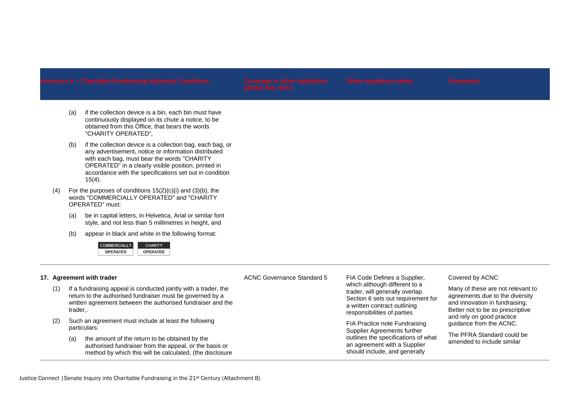- (a) if the collection device is a bin, each bin must have continuously displayed on its chute a notice, to be obtained from this Office, that bears the words "CHARITY OPERATED",
- (b) if the collection device is a collection bag, each bag, or any advertisement, notice or information distributed with each bag, must bear the words "CHARITY OPERATED" in a clearly visible position, printed in accordance with the specifications set out in condition  $15(4)$ .
- (4) For the purposes of conditions  $15(2)(c)(i)$  and  $(3)(b)$ , the words "COMMERCIALLY OPERATED" and "CHARITY OPERATED" must:
	- (a) be in capital letters, in Helvetica, Arial or similar font style, and not less than 5 millimetres in height, and
	- (b) appear in black and white in the following format:



# **17. Agreement with trader**

- (1) If a fundraising appeal is conducted jointly with a trader, the return to the authorised fundraiser must be governed by a written agreement between the authorised fundraiser and the trader,.
- (2) Such an agreement must include at least the following particulars:
	- (a) the amount of the return to be obtained by the authorised fundraiser from the appeal, or the basis or method by which this will be calculated, (the disclosure

ACNC Governance Standard 5 FIA Code Defines a Supplier, which although different to a trader, will generally overlap. Section 6 sets out requirement for a written contract outlining responsibilities of parties

> FIA Practice note Fundraising Supplier Agreements further outlines the specifications of what an agreement with a Supplier should include, and generally

# Covered by ACNC

Many of these are not relevant to agreements due to the diversity and innovation in fundraising. Better not to be so prescriptive and rely on good practice guidance from the ACNC.

The PFRA Standard could be amended to include similar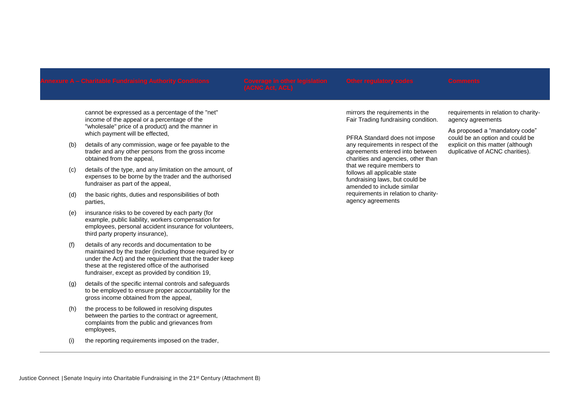cannot be expressed as a percentage of the "net" income of the appeal or a percentage of the "wholesale" price of a product) and the manner in which payment will be effected,

- (b) details of any commission, wage or fee payable to the trader and any other persons from the gross income obtained from the appeal,
- (c) details of the type, and any limitation on the amount, of expenses to be borne by the trader and the authorised fundraiser as part of the appeal,
- (d) the basic rights, duties and responsibilities of both parties,
- (e) insurance risks to be covered by each party (for example, public liability, workers compensation for employees, personal accident insurance for volunteers, third party property insurance),
- (f) details of any records and documentation to be maintained by the trader (including those required by or under the Act) and the requirement that the trader keep these at the registered office of the authorised fundraiser, except as provided by condition 19,
- (g) details of the specific internal controls and safeguards to be employed to ensure proper accountability for the gross income obtained from the appeal,
- (h) the process to be followed in resolving disputes between the parties to the contract or agreement, complaints from the public and grievances from employees,
- (i) the reporting requirements imposed on the trader,

mirrors the requirements in the Fair Trading fundraising condition.

PFRA Standard does not impose any requirements in respect of the agreements entered into between charities and agencies, other than that we require members to follows all applicable state fundraising laws, but could be amended to include similar requirements in relation to charityagency agreements

requirements in relation to charityagency agreements

As proposed a "mandatory code" could be an option and could be explicit on this matter (although duplicative of ACNC charities).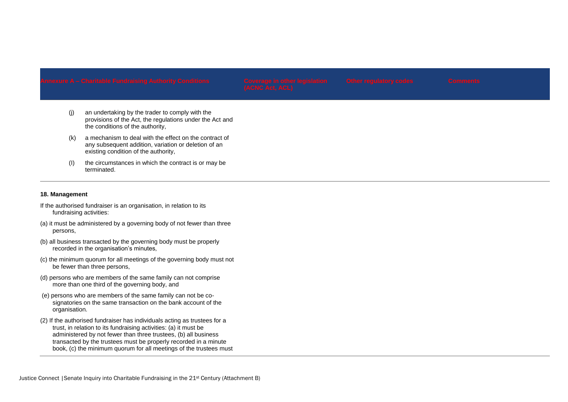- (j) an undertaking by the trader to comply with the provisions of the Act, the regulations under the Act and the conditions of the authority,
- (k) a mechanism to deal with the effect on the contract of any subsequent addition, variation or deletion of an existing condition of the authority,
- (I) the circumstances in which the contract is or may be terminated.

# **18. Management**

- If the authorised fundraiser is an organisation, in relation to its fundraising activities:
- (a) it must be administered by a governing body of not fewer than three persons,
- (b) all business transacted by the governing body must be properly recorded in the organisation's minutes,
- (c) the minimum quorum for all meetings of the governing body must not be fewer than three persons,
- (d) persons who are members of the same family can not comprise more than one third of the governing body, and
- (e) persons who are members of the same family can not be cosignatories on the same transaction on the bank account of the organisation.
- (2) If the authorised fundraiser has individuals acting as trustees for a trust, in relation to its fundraising activities: (a) it must be administered by not fewer than three trustees, (b) all business transacted by the trustees must be properly recorded in a minute book, (c) the minimum quorum for all meetings of the trustees must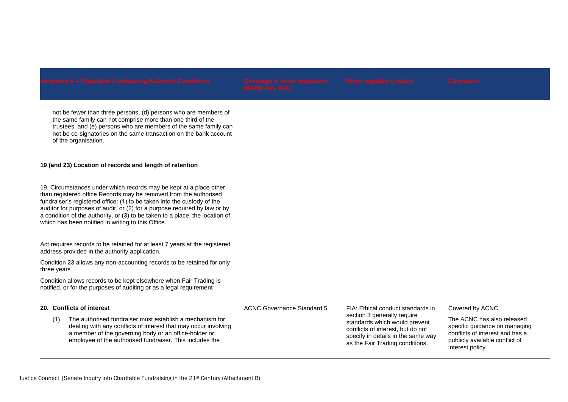not be fewer than three persons, (d) persons who are members of the same family can not comprise more than one third of the trustees, and (e) persons who are members of the same family can not be co-signatories on the same transaction on the bank account of the organisation.

# **19 (and 23) Location of records and length of retention**

19. Circumstances under which records may be kept at a place other than registered office Records may be removed from the authorised fundraiser's registered office: (1) to be taken into the custody of the auditor for purposes of audit, or (2) for a purpose required by law or by a condition of the authority, or (3) to be taken to a place, the location of which has been notified in writing to this Office.

Act requires records to be retained for at least 7 years at the registered address provided in the authority application.

Condition 23 allows any non-accounting records to be retained for only three years

Condition allows records to be kept elsewhere when Fair Trading is notified, or for the purposes of auditing or as a legal requirement

# **20. Conflicts of interest**

(1) The authorised fundraiser must establish a mechanism for dealing with any conflicts of interest that may occur involving a member of the governing body or an office-holder or employee of the authorised fundraiser. This includes the

ACNC Governance Standard 5 FIA: Ethical conduct standards in

section 3 generally require standards which would prevent conflicts of interest, but do not specify in details in the same way as the Fair Trading conditions.

Covered by ACNC

The ACNC has also released specific quidance on managing conflicts of interest and has a publicly available conflict of interest policy.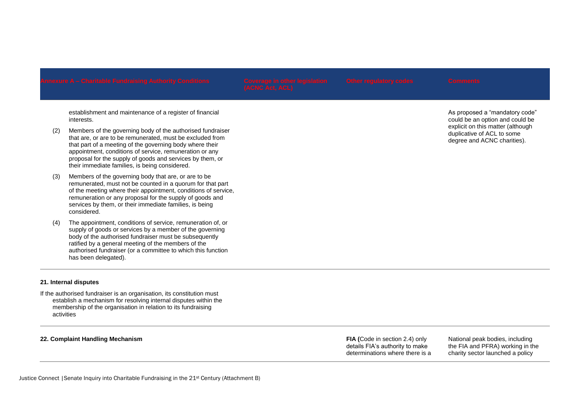establishment and maintenance of a register of financial interests.

- (2) Members of the governing body of the authorised fundraiser that are, or are to be remunerated, must be excluded from that part of a meeting of the governing body where their appointment, conditions of service, remuneration or any proposal for the supply of goods and services by them, or their immediate families, is being considered.
- (3) Members of the governing body that are, or are to be remunerated, must not be counted in a quorum for that part of the meeting where their appointment, conditions of service, remuneration or any proposal for the supply of goods and services by them, or their immediate families, is being considered.
- (4) The appointment, conditions of service, remuneration of, or supply of goods or services by a member of the governing body of the authorised fundraiser must be subsequently ratified by a general meeting of the members of the authorised fundraiser (or a committee to which this function has been delegated).

# **21. Internal disputes**

If the authorised fundraiser is an organisation, its constitution must establish a mechanism for resolving internal disputes within the membership of the organisation in relation to its fundraising activities

### **22. Complaint Handling Mechanism FIA (**Code in section 2.4) only

details FIA's authority to make determinations where there is a National peak bodies, including the FIA and PFRA) working in the charity sector launched a policy

As proposed a "mandatory code" could be an option and could be explicit on this matter (although duplicative of ACL to some degree and ACNC charities).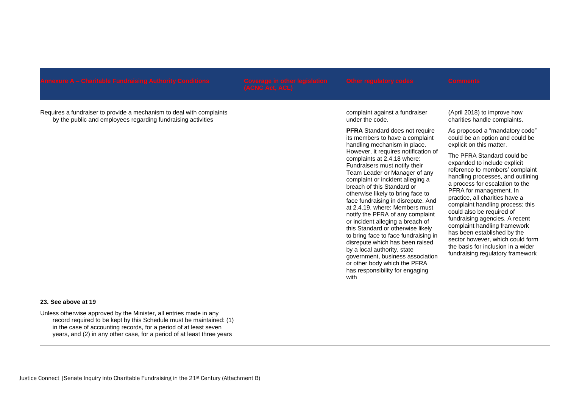Requires a fundraiser to provide a mechanism to deal with complaints by the public and employees regarding fundraising activities

complaint against a fundraiser under the code.

**PFRA** Standard does not require its members to have a complaint handling mechanism in place. However, it requires notification of complaints at 2.4.18 where: Fundraisers must notify their Team Leader or Manager of any complaint or incident alleging a breach of this Standard or otherwise likely to bring face to face fundraising in disrepute. And at 2.4.19, where: Members must notify the PFRA of any complaint or incident alleging a breach of this Standard or otherwise likely to bring face to face fundraising in disrepute which has been raised by a local authority, state government, business association or other body which the PFRA has responsibility for engaging with

(April 2018) to improve how charities handle complaints.

As proposed a "mandatory code" could be an option and could be explicit on this matter.

The PFRA Standard could be expanded to include explicit reference to members' complaint handling processes, and outlining a process for escalation to the PFRA for management. In practice, all charities have a complaint handling process; this could also be required of fundraising agencies. A recent complaint handling framework has been established by the sector however, which could form the basis for inclusion in a wider fundraising regulatory framework

# **23. See above at 19**

Unless otherwise approved by the Minister, all entries made in any record required to be kept by this Schedule must be maintained: (1) in the case of accounting records, for a period of at least seven years, and (2) in any other case, for a period of at least three years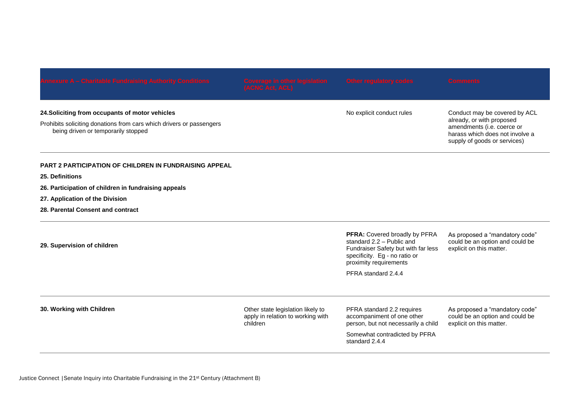| 24. Soliciting from occupants of motor vehicles<br>Prohibits soliciting donations from cars which drivers or passengers<br>being driven or temporarily stopped |                                                                                    | No explicit conduct rules                                                                                                                                    | Conduct may be covered by ACL<br>already, or with proposed<br>amendments (i.e. coerce or<br>harass which does not involve a<br>supply of goods or services) |
|----------------------------------------------------------------------------------------------------------------------------------------------------------------|------------------------------------------------------------------------------------|--------------------------------------------------------------------------------------------------------------------------------------------------------------|-------------------------------------------------------------------------------------------------------------------------------------------------------------|
| <b>PART 2 PARTICIPATION OF CHILDREN IN FUNDRAISING APPEAL</b>                                                                                                  |                                                                                    |                                                                                                                                                              |                                                                                                                                                             |
| 25. Definitions                                                                                                                                                |                                                                                    |                                                                                                                                                              |                                                                                                                                                             |
| 26. Participation of children in fundraising appeals                                                                                                           |                                                                                    |                                                                                                                                                              |                                                                                                                                                             |
| 27. Application of the Division                                                                                                                                |                                                                                    |                                                                                                                                                              |                                                                                                                                                             |
| 28. Parental Consent and contract                                                                                                                              |                                                                                    |                                                                                                                                                              |                                                                                                                                                             |
| 29. Supervision of children                                                                                                                                    |                                                                                    | PFRA: Covered broadly by PFRA<br>standard 2.2 - Public and<br>Fundraiser Safety but with far less<br>specificity. Eg - no ratio or<br>proximity requirements | As proposed a "mandatory code"<br>could be an option and could be<br>explicit on this matter.                                                               |
|                                                                                                                                                                |                                                                                    | PFRA standard 2.4.4                                                                                                                                          |                                                                                                                                                             |
| 30. Working with Children                                                                                                                                      | Other state legislation likely to<br>apply in relation to working with<br>children | PFRA standard 2.2 requires<br>accompaniment of one other<br>person, but not necessarily a child                                                              | As proposed a "mandatory code"<br>could be an option and could be<br>explicit on this matter.                                                               |
|                                                                                                                                                                |                                                                                    | Somewhat contradicted by PFRA<br>standard 2.4.4                                                                                                              |                                                                                                                                                             |